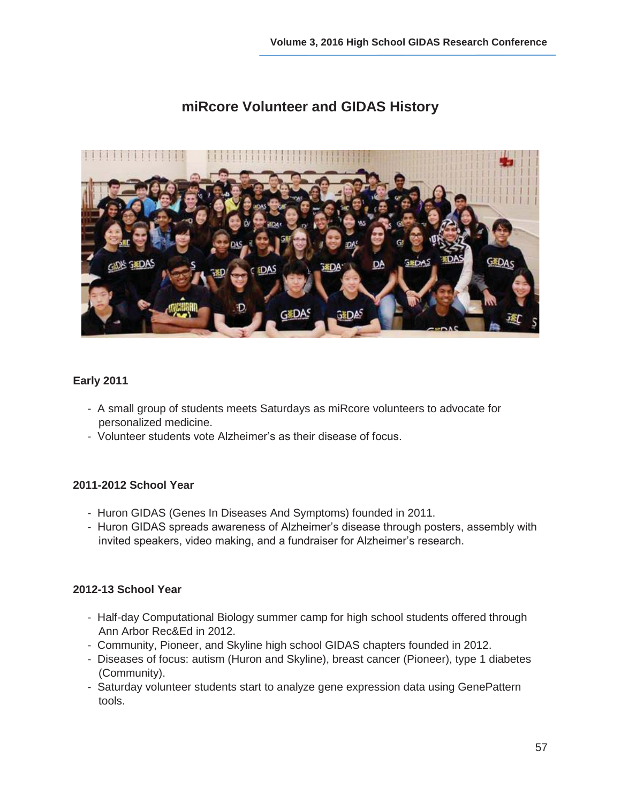

# **miRcore Volunteer and GIDAS History**

#### **Early 2011**

- A small group of students meets Saturdays as miRcore volunteers to advocate for personalized medicine.
- Volunteer students vote Alzheimer's as their disease of focus.

#### **2011-2012 School Year**

- Huron GIDAS (Genes In Diseases And Symptoms) founded in 2011.
- Huron GIDAS spreads awareness of Alzheimer's disease through posters, assembly with invited speakers, video making, and a fundraiser for Alzheimer's research.

#### **2012-13 School Year**

- Half-day Computational Biology summer camp for high school students offered through Ann Arbor Rec&Ed in 2012.
- Community, Pioneer, and Skyline high school GIDAS chapters founded in 2012.
- Diseases of focus: autism (Huron and Skyline), breast cancer (Pioneer), type 1 diabetes (Community).
- Saturday volunteer students start to analyze gene expression data using GenePattern tools.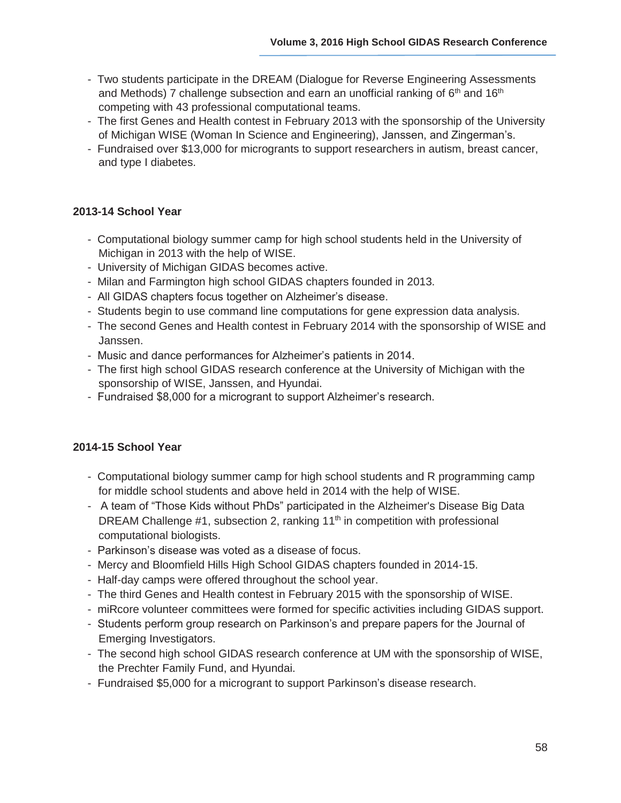- Two students participate in the DREAM (Dialogue for Reverse Engineering Assessments and Methods) 7 challenge subsection and earn an unofficial ranking of  $6<sup>th</sup>$  and 16<sup>th</sup> competing with 43 professional computational teams.
- The first Genes and Health contest in February 2013 with the sponsorship of the University of Michigan WISE (Woman In Science and Engineering), Janssen, and Zingerman's.
- Fundraised over \$13,000 for microgrants to support researchers in autism, breast cancer, and type I diabetes.

### **2013-14 School Year**

- Computational biology summer camp for high school students held in the University of Michigan in 2013 with the help of WISE.
- University of Michigan GIDAS becomes active.
- Milan and Farmington high school GIDAS chapters founded in 2013.
- All GIDAS chapters focus together on Alzheimer's disease.
- Students begin to use command line computations for gene expression data analysis.
- The second Genes and Health contest in February 2014 with the sponsorship of WISE and Janssen.
- Music and dance performances for Alzheimer's patients in 2014.
- The first high school GIDAS research conference at the University of Michigan with the sponsorship of WISE, Janssen, and Hyundai.
- Fundraised \$8,000 for a microgrant to support Alzheimer's research.

## **2014-15 School Year**

- Computational biology summer camp for high school students and R programming camp for middle school students and above held in 2014 with the help of WISE.
- A team of "Those Kids without PhDs" participated in the Alzheimer's Disease Big Data DREAM Challenge  $#1$ , subsection 2, ranking  $11<sup>th</sup>$  in competition with professional computational biologists.
- Parkinson's disease was voted as a disease of focus.
- Mercy and Bloomfield Hills High School GIDAS chapters founded in 2014-15.
- Half-day camps were offered throughout the school year.
- The third Genes and Health contest in February 2015 with the sponsorship of WISE.
- miRcore volunteer committees were formed for specific activities including GIDAS support.
- Students perform group research on Parkinson's and prepare papers for the Journal of Emerging Investigators.
- The second high school GIDAS research conference at UM with the sponsorship of WISE, the Prechter Family Fund, and Hyundai.
- Fundraised \$5,000 for a microgrant to support Parkinson's disease research.